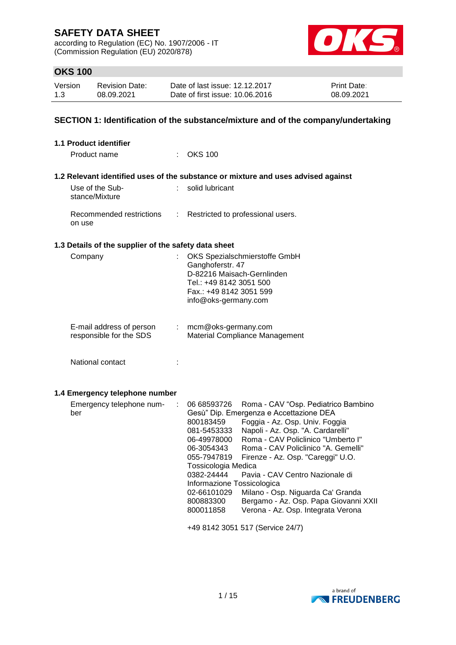according to Regulation (EC) No. 1907/2006 - IT (Commission Regulation (EU) 2020/878)



# **OKS 100**

| Version | <b>Revision Date:</b> | Date of last issue: 12.12.2017  | <b>Print Date:</b> |
|---------|-----------------------|---------------------------------|--------------------|
| 1.3     | 08.09.2021            | Date of first issue: 10.06.2016 | 08.09.2021         |

## **SECTION 1: Identification of the substance/mixture and of the company/undertaking**

| 1.1 Product identifier                               |                                                                                                                                                                                                                                                                                                                                                                                                                                                                                                                                                                                                                                                                       |
|------------------------------------------------------|-----------------------------------------------------------------------------------------------------------------------------------------------------------------------------------------------------------------------------------------------------------------------------------------------------------------------------------------------------------------------------------------------------------------------------------------------------------------------------------------------------------------------------------------------------------------------------------------------------------------------------------------------------------------------|
| Product name                                         | $:$ OKS 100                                                                                                                                                                                                                                                                                                                                                                                                                                                                                                                                                                                                                                                           |
|                                                      | 1.2 Relevant identified uses of the substance or mixture and uses advised against                                                                                                                                                                                                                                                                                                                                                                                                                                                                                                                                                                                     |
| Use of the Sub-<br>÷<br>stance/Mixture               | solid lubricant                                                                                                                                                                                                                                                                                                                                                                                                                                                                                                                                                                                                                                                       |
| Recommended restrictions<br>÷<br>on use              | Restricted to professional users.                                                                                                                                                                                                                                                                                                                                                                                                                                                                                                                                                                                                                                     |
| 1.3 Details of the supplier of the safety data sheet |                                                                                                                                                                                                                                                                                                                                                                                                                                                                                                                                                                                                                                                                       |
| Company                                              | OKS Spezialschmierstoffe GmbH<br>Ganghoferstr. 47<br>D-82216 Maisach-Gernlinden<br>Tel.: +49 8142 3051 500<br>Fax.: +49 8142 3051 599<br>info@oks-germany.com                                                                                                                                                                                                                                                                                                                                                                                                                                                                                                         |
| E-mail address of person<br>responsible for the SDS  | mcm@oks-germany.com<br>Material Compliance Management                                                                                                                                                                                                                                                                                                                                                                                                                                                                                                                                                                                                                 |
| National contact                                     |                                                                                                                                                                                                                                                                                                                                                                                                                                                                                                                                                                                                                                                                       |
| 1.4 Emergency telephone number                       |                                                                                                                                                                                                                                                                                                                                                                                                                                                                                                                                                                                                                                                                       |
| Emergency telephone num-<br>÷<br>ber                 | 06 68593726<br>Roma - CAV "Osp. Pediatrico Bambino<br>Gesù" Dip. Emergenza e Accettazione DEA<br>Foggia - Az. Osp. Univ. Foggia<br>800183459<br>Napoli - Az. Osp. "A. Cardarelli"<br>081-5453333<br>Roma - CAV Policlinico "Umberto I"<br>06-49978000<br>Roma - CAV Policlinico "A. Gemelli"<br>06-3054343<br>Firenze - Az. Osp. "Careggi" U.O.<br>055-7947819<br>Tossicologia Medica<br>0382-24444<br>Pavia - CAV Centro Nazionale di<br>Informazione Tossicologica<br>Milano - Osp. Niguarda Ca' Granda<br>02-66101029<br>Bergamo - Az. Osp. Papa Giovanni XXII<br>800883300<br>Verona - Az. Osp. Integrata Verona<br>800011858<br>+49 8142 3051 517 (Service 24/7) |

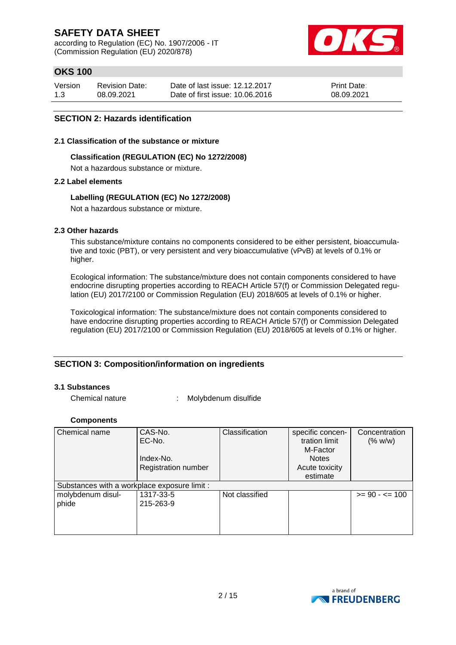according to Regulation (EC) No. 1907/2006 - IT (Commission Regulation (EU) 2020/878)



# **OKS 100**

| Version | Revision Date: | Date of last issue: 12.12.2017  | <b>Print Date:</b> |
|---------|----------------|---------------------------------|--------------------|
| 1.3     | 08.09.2021     | Date of first issue: 10.06.2016 | 08.09.2021         |

### **SECTION 2: Hazards identification**

#### **2.1 Classification of the substance or mixture**

### **Classification (REGULATION (EC) No 1272/2008)**

Not a hazardous substance or mixture.

### **2.2 Label elements**

### **Labelling (REGULATION (EC) No 1272/2008)**

Not a hazardous substance or mixture.

### **2.3 Other hazards**

This substance/mixture contains no components considered to be either persistent, bioaccumulative and toxic (PBT), or very persistent and very bioaccumulative (vPvB) at levels of 0.1% or higher.

Ecological information: The substance/mixture does not contain components considered to have endocrine disrupting properties according to REACH Article 57(f) or Commission Delegated regulation (EU) 2017/2100 or Commission Regulation (EU) 2018/605 at levels of 0.1% or higher.

Toxicological information: The substance/mixture does not contain components considered to have endocrine disrupting properties according to REACH Article 57(f) or Commission Delegated regulation (EU) 2017/2100 or Commission Regulation (EU) 2018/605 at levels of 0.1% or higher.

### **SECTION 3: Composition/information on ingredients**

#### **3.1 Substances**

Chemical nature : Molybdenum disulfide

#### **Components**

| Chemical name                                | CAS-No.                    | Classification | specific concen- | Concentration     |
|----------------------------------------------|----------------------------|----------------|------------------|-------------------|
|                                              | EC-No.                     |                | tration limit    | (% w/w)           |
|                                              |                            |                | M-Factor         |                   |
|                                              | Index-No.                  |                | <b>Notes</b>     |                   |
|                                              | <b>Registration number</b> |                | Acute toxicity   |                   |
|                                              |                            |                | estimate         |                   |
| Substances with a workplace exposure limit : |                            |                |                  |                   |
| molybdenum disul-                            | 1317-33-5                  | Not classified |                  | $>= 90 - 5 = 100$ |
| phide                                        | 215-263-9                  |                |                  |                   |
|                                              |                            |                |                  |                   |
|                                              |                            |                |                  |                   |
|                                              |                            |                |                  |                   |

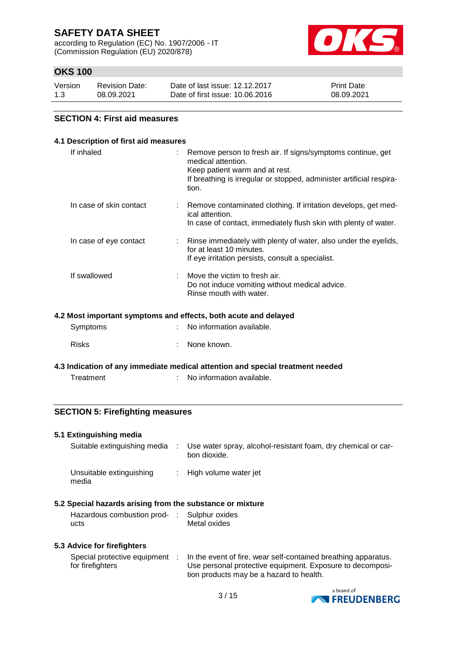according to Regulation (EC) No. 1907/2006 - IT (Commission Regulation (EU) 2020/878)



# **OKS 100**

| Version | <b>Revision Date:</b> | Date of last issue: 12.12.2017  | <b>Print Date:</b> |
|---------|-----------------------|---------------------------------|--------------------|
| 1.3     | 08.09.2021            | Date of first issue: 10.06.2016 | 08.09.2021         |

### **SECTION 4: First aid measures**

| 4.1 Description of first aid measures |                                                                                                                                                                                                      |
|---------------------------------------|------------------------------------------------------------------------------------------------------------------------------------------------------------------------------------------------------|
| If inhaled                            | Remove person to fresh air. If signs/symptoms continue, get<br>medical attention.<br>Keep patient warm and at rest.<br>If breathing is irregular or stopped, administer artificial respira-<br>tion. |
| In case of skin contact               | Remove contaminated clothing. If irritation develops, get med-<br>ical attention.<br>In case of contact, immediately flush skin with plenty of water.                                                |
| In case of eye contact                | Rinse immediately with plenty of water, also under the eyelids,<br>for at least 10 minutes.<br>If eye irritation persists, consult a specialist.                                                     |
| If swallowed                          | Move the victim to fresh air.<br>Do not induce vomiting without medical advice.<br>Rinse mouth with water.                                                                                           |
|                                       |                                                                                                                                                                                                      |

### **4.2 Most important symptoms and effects, both acute and delayed**

| Symptoms     | : No information available. |
|--------------|-----------------------------|
| <b>Risks</b> | : None known.               |

**4.3 Indication of any immediate medical attention and special treatment needed**

| Treatment | No information available. |
|-----------|---------------------------|
|           |                           |

### **SECTION 5: Firefighting measures**

| 5.1 Extinguishing media                    |   |
|--------------------------------------------|---|
| Suitable extinguishing media : Use water s |   |
|                                            | . |

|  | Suitable extinguishing media : Use water spray, alcohol-resistant foam, dry chemical or car-<br>bon dioxide. |
|--|--------------------------------------------------------------------------------------------------------------|
|  |                                                                                                              |

| Unsuitable extinguishing | High volume water jet |
|--------------------------|-----------------------|
| media                    |                       |

### **5.2 Special hazards arising from the substance or mixture**

| Hazardous combustion prod- : Sulphur oxides |              |
|---------------------------------------------|--------------|
| ucts                                        | Metal oxides |

#### **5.3 Advice for firefighters**

|                  | Special protective equipment : In the event of fire, wear self-contained breathing apparatus. |
|------------------|-----------------------------------------------------------------------------------------------|
| for firefighters | Use personal protective equipment. Exposure to decomposi-                                     |
|                  | tion products may be a hazard to health.                                                      |

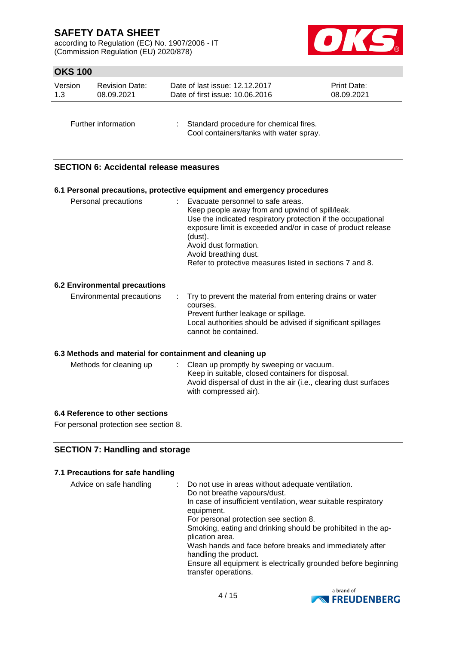according to Regulation (EC) No. 1907/2006 - IT (Commission Regulation (EU) 2020/878)



# **OKS 100**

| Version | <b>Revision Date:</b> | Date of last issue: 12.12.2017           | <b>Print Date:</b> |
|---------|-----------------------|------------------------------------------|--------------------|
| 1.3     | 08.09.2021            | Date of first issue: 10.06.2016          | 08.09.2021         |
|         | Further information   | : Standard procedure for chemical fires. |                    |

Cool containers/tanks with water spray.

## **SECTION 6: Accidental release measures**

#### **6.1 Personal precautions, protective equipment and emergency procedures**

| Use the indicated respiratory protection if the occupational<br>exposure limit is exceeded and/or in case of product release<br>(dust).<br>Avoid dust formation.<br>Avoid breathing dust.<br>Refer to protective measures listed in sections 7 and 8. | Personal precautions | Evacuate personnel to safe areas.<br>Keep people away from and upwind of spill/leak. |  |
|-------------------------------------------------------------------------------------------------------------------------------------------------------------------------------------------------------------------------------------------------------|----------------------|--------------------------------------------------------------------------------------|--|
|-------------------------------------------------------------------------------------------------------------------------------------------------------------------------------------------------------------------------------------------------------|----------------------|--------------------------------------------------------------------------------------|--|

### **6.2 Environmental precautions**

| Environmental precautions | . Try to prevent the material from entering drains or water<br>courses.                                                      |
|---------------------------|------------------------------------------------------------------------------------------------------------------------------|
|                           | Prevent further leakage or spillage.<br>Local authorities should be advised if significant spillages<br>cannot be contained. |

### **6.3 Methods and material for containment and cleaning up**

| Methods for cleaning up | : Clean up promptly by sweeping or vacuum.                       |
|-------------------------|------------------------------------------------------------------|
|                         | Keep in suitable, closed containers for disposal.                |
|                         | Avoid dispersal of dust in the air (i.e., clearing dust surfaces |
|                         | with compressed air).                                            |

### **6.4 Reference to other sections**

For personal protection see section 8.

## **SECTION 7: Handling and storage**

### **7.1 Precautions for safe handling**

| Do not breathe vapours/dust.<br>In case of insufficient ventilation, wear suitable respiratory<br>equipment.<br>For personal protection see section 8.<br>Smoking, eating and drinking should be prohibited in the ap-<br>plication area.<br>Wash hands and face before breaks and immediately after<br>handling the product.<br>Ensure all equipment is electrically grounded before beginning<br>transfer operations. | Advice on safe handling |  | Do not use in areas without adequate ventilation. |
|-------------------------------------------------------------------------------------------------------------------------------------------------------------------------------------------------------------------------------------------------------------------------------------------------------------------------------------------------------------------------------------------------------------------------|-------------------------|--|---------------------------------------------------|
|-------------------------------------------------------------------------------------------------------------------------------------------------------------------------------------------------------------------------------------------------------------------------------------------------------------------------------------------------------------------------------------------------------------------------|-------------------------|--|---------------------------------------------------|

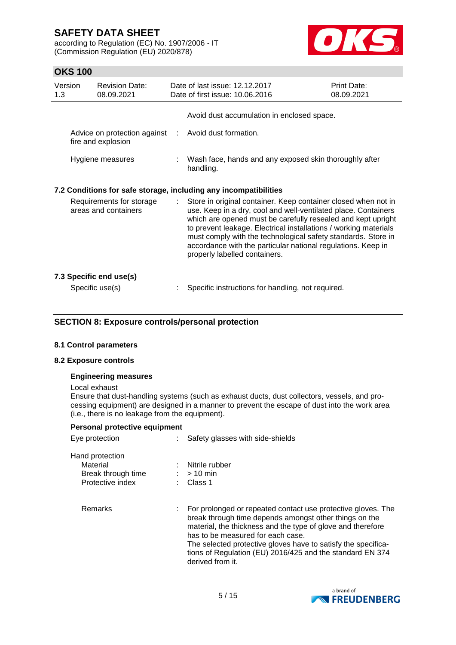according to Regulation (EC) No. 1907/2006 - IT (Commission Regulation (EU) 2020/878)



# **OKS 100**

| Version<br>1.3 | <b>Revision Date:</b><br>08.09.2021                  |    | Date of last issue: 12.12.2017<br>Print Date:<br>08.09.2021<br>Date of first issue: 10.06.2016                                                                                                                                                                                                                                                                                                                                         |  |
|----------------|------------------------------------------------------|----|----------------------------------------------------------------------------------------------------------------------------------------------------------------------------------------------------------------------------------------------------------------------------------------------------------------------------------------------------------------------------------------------------------------------------------------|--|
|                |                                                      |    | Avoid dust accumulation in enclosed space.                                                                                                                                                                                                                                                                                                                                                                                             |  |
|                | Advice on protection against :<br>fire and explosion |    | Avoid dust formation.                                                                                                                                                                                                                                                                                                                                                                                                                  |  |
|                | Hygiene measures                                     |    | Wash face, hands and any exposed skin thoroughly after<br>handling.                                                                                                                                                                                                                                                                                                                                                                    |  |
|                |                                                      |    | 7.2 Conditions for safe storage, including any incompatibilities                                                                                                                                                                                                                                                                                                                                                                       |  |
|                | Requirements for storage<br>areas and containers     | ÷. | Store in original container. Keep container closed when not in<br>use. Keep in a dry, cool and well-ventilated place. Containers<br>which are opened must be carefully resealed and kept upright<br>to prevent leakage. Electrical installations / working materials<br>must comply with the technological safety standards. Store in<br>accordance with the particular national regulations. Keep in<br>properly labelled containers. |  |
|                | 7.3 Specific end use(s)                              |    |                                                                                                                                                                                                                                                                                                                                                                                                                                        |  |
|                | Specific use(s)                                      |    | Specific instructions for handling, not required.                                                                                                                                                                                                                                                                                                                                                                                      |  |

## **SECTION 8: Exposure controls/personal protection**

### **8.1 Control parameters**

#### **8.2 Exposure controls**

#### **Engineering measures**

#### Local exhaust

Ensure that dust-handling systems (such as exhaust ducts, dust collectors, vessels, and processing equipment) are designed in a manner to prevent the escape of dust into the work area (i.e., there is no leakage from the equipment).

#### **Personal protective equipment**

| Eye protection                                                        | Safety glasses with side-shields                                                                                                                                                                                                                                                                                                                                               |
|-----------------------------------------------------------------------|--------------------------------------------------------------------------------------------------------------------------------------------------------------------------------------------------------------------------------------------------------------------------------------------------------------------------------------------------------------------------------|
| Hand protection<br>Material<br>Break through time<br>Protective index | Nitrile rubber<br>$:$ > 10 min<br>Class 1                                                                                                                                                                                                                                                                                                                                      |
| Remarks                                                               | : For prolonged or repeated contact use protective gloves. The<br>break through time depends amongst other things on the<br>material, the thickness and the type of glove and therefore<br>has to be measured for each case.<br>The selected protective gloves have to satisfy the specifica-<br>tions of Regulation (EU) 2016/425 and the standard EN 374<br>derived from it. |

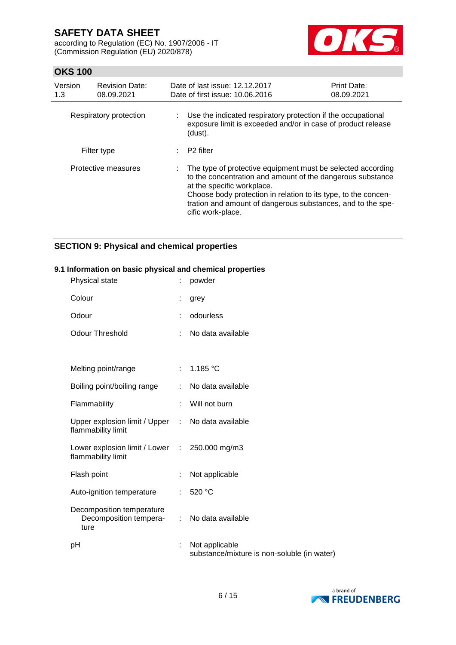according to Regulation (EC) No. 1907/2006 - IT (Commission Regulation (EU) 2020/878)



# **OKS 100**

| Version<br>1.3 | <b>Revision Date:</b><br>08.09.2021 | Date of last issue: 12.12.2017<br>Date of first issue: 10.06.2016                                                                                                                                                                                                                                             | <b>Print Date:</b><br>08.09.2021 |
|----------------|-------------------------------------|---------------------------------------------------------------------------------------------------------------------------------------------------------------------------------------------------------------------------------------------------------------------------------------------------------------|----------------------------------|
|                | Respiratory protection              | : Use the indicated respiratory protection if the occupational<br>exposure limit is exceeded and/or in case of product release<br>(dust).                                                                                                                                                                     |                                  |
|                | Filter type                         | P2 filter                                                                                                                                                                                                                                                                                                     |                                  |
|                | Protective measures                 | The type of protective equipment must be selected according<br>to the concentration and amount of the dangerous substance<br>at the specific workplace.<br>Choose body protection in relation to its type, to the concen-<br>tration and amount of dangerous substances, and to the spe-<br>cific work-place. |                                  |

# **SECTION 9: Physical and chemical properties**

#### **9.1 Information on basic physical and chemical properties**

| Physical state                                                          |    | powder                                                        |
|-------------------------------------------------------------------------|----|---------------------------------------------------------------|
| Colour                                                                  | t  | grey                                                          |
| Odour                                                                   |    | odourless                                                     |
| <b>Odour Threshold</b>                                                  |    | No data available                                             |
|                                                                         |    |                                                               |
| Melting point/range                                                     |    | : $1.185 °C$                                                  |
| Boiling point/boiling range                                             |    | No data available                                             |
| Flammability                                                            |    | Will not burn                                                 |
| Upper explosion limit / Upper : No data available<br>flammability limit |    |                                                               |
| Lower explosion limit / Lower : 250.000 mg/m3<br>flammability limit     |    |                                                               |
| Flash point                                                             | ÷  | Not applicable                                                |
| Auto-ignition temperature                                               |    | 520 °C                                                        |
| Decomposition temperature<br>Decomposition tempera-<br>ture             | ÷. | No data available                                             |
| рH                                                                      |    | Not applicable<br>substance/mixture is non-soluble (in water) |

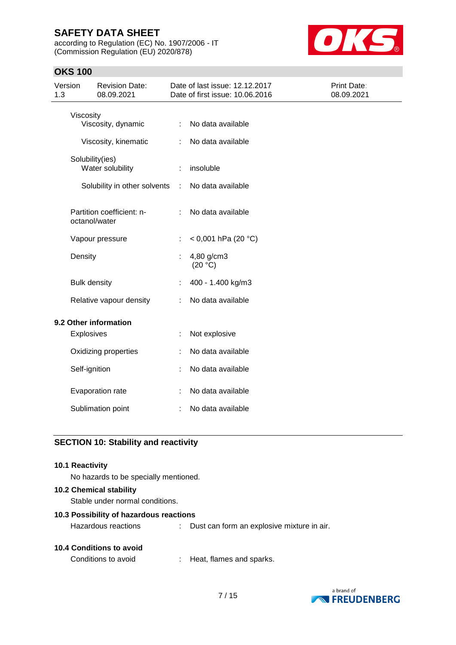according to Regulation (EC) No. 1907/2006 - IT (Commission Regulation (EU) 2020/878)



## **OKS 100**

| Version<br>1.3 |                     | <b>Revision Date:</b><br>08.09.2021 |    | Date of last issue: 12.12.2017<br>Date of first issue: 10.06.2016 | Print Date:<br>08.09.2021 |
|----------------|---------------------|-------------------------------------|----|-------------------------------------------------------------------|---------------------------|
|                | Viscosity           | Viscosity, dynamic                  |    | No data available                                                 |                           |
|                |                     | Viscosity, kinematic                | t. | No data available                                                 |                           |
|                | Solubility(ies)     | Water solubility                    | ÷  | insoluble                                                         |                           |
|                |                     | Solubility in other solvents        | ÷  | No data available                                                 |                           |
|                | octanol/water       | Partition coefficient: n-           |    | No data available                                                 |                           |
|                |                     | Vapour pressure                     | t. | < 0,001 hPa (20 $^{\circ}$ C)                                     |                           |
|                | Density             |                                     |    | 4,80 g/cm3<br>(20 °C)                                             |                           |
|                | <b>Bulk density</b> |                                     |    | 400 - 1.400 kg/m3                                                 |                           |
|                |                     | Relative vapour density             |    | No data available                                                 |                           |
|                |                     | 9.2 Other information               |    |                                                                   |                           |
|                | Explosives          |                                     | ÷  | Not explosive                                                     |                           |
|                |                     | Oxidizing properties                |    | No data available                                                 |                           |
|                | Self-ignition       |                                     |    | No data available                                                 |                           |
|                |                     | Evaporation rate                    |    | No data available                                                 |                           |
|                |                     | Sublimation point                   |    | No data available                                                 |                           |

## **SECTION 10: Stability and reactivity**

#### **10.1 Reactivity**

No hazards to be specially mentioned.

### **10.2 Chemical stability**

Stable under normal conditions.

### **10.3 Possibility of hazardous reactions**

| Hazardous reactions |  | Dust can form an explosive mixture in air. |
|---------------------|--|--------------------------------------------|
|---------------------|--|--------------------------------------------|

#### **10.4 Conditions to avoid**

Conditions to avoid : Heat, flames and sparks.

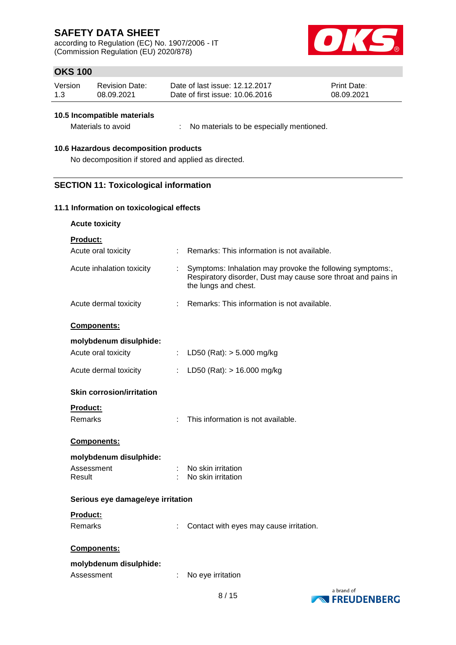according to Regulation (EC) No. 1907/2006 - IT (Commission Regulation (EU) 2020/878)



# **OKS 100**

| Version | <b>Revision Date:</b> | Date of last issue: 12.12.2017  | <b>Print Date:</b> |
|---------|-----------------------|---------------------------------|--------------------|
| 1.3     | 08.09.2021            | Date of first issue: 10.06.2016 | 08.09.2021         |

#### **10.5 Incompatible materials**

Materials to avoid : No materials to be especially mentioned.

## **10.6 Hazardous decomposition products**

No decomposition if stored and applied as directed.

### **SECTION 11: Toxicological information**

### **11.1 Information on toxicological effects**

**Acute toxicity**

**Product:**<br>Agute erel texieit

| Acute oral toxicity               | Remarks: This information is not available.                                                                                                              |
|-----------------------------------|----------------------------------------------------------------------------------------------------------------------------------------------------------|
| Acute inhalation toxicity         | Symptoms: Inhalation may provoke the following symptoms:,<br>t.<br>Respiratory disorder, Dust may cause sore throat and pains in<br>the lungs and chest. |
| Acute dermal toxicity             | Remarks: This information is not available.<br>÷.                                                                                                        |
| Components:                       |                                                                                                                                                          |
| molybdenum disulphide:            |                                                                                                                                                          |
| Acute oral toxicity               | LD50 (Rat): $> 5.000$ mg/kg                                                                                                                              |
| Acute dermal toxicity             | LD50 (Rat): $> 16.000$ mg/kg                                                                                                                             |
| <b>Skin corrosion/irritation</b>  |                                                                                                                                                          |
| Product:                          |                                                                                                                                                          |
| Remarks                           | This information is not available.                                                                                                                       |
|                                   |                                                                                                                                                          |
| Components:                       |                                                                                                                                                          |
| molybdenum disulphide:            |                                                                                                                                                          |
| Assessment                        | No skin irritation                                                                                                                                       |
| Result                            | No skin irritation                                                                                                                                       |
|                                   |                                                                                                                                                          |
| Serious eye damage/eye irritation |                                                                                                                                                          |
| <b>Product:</b>                   |                                                                                                                                                          |
| <b>Remarks</b>                    | Contact with eyes may cause irritation.                                                                                                                  |
|                                   |                                                                                                                                                          |
| Components:                       |                                                                                                                                                          |
| molybdenum disulphide:            |                                                                                                                                                          |
| Assessment                        | No eye irritation                                                                                                                                        |
|                                   | a brand of                                                                                                                                               |
|                                   | 8/15<br><b>FREUDENBERG</b>                                                                                                                               |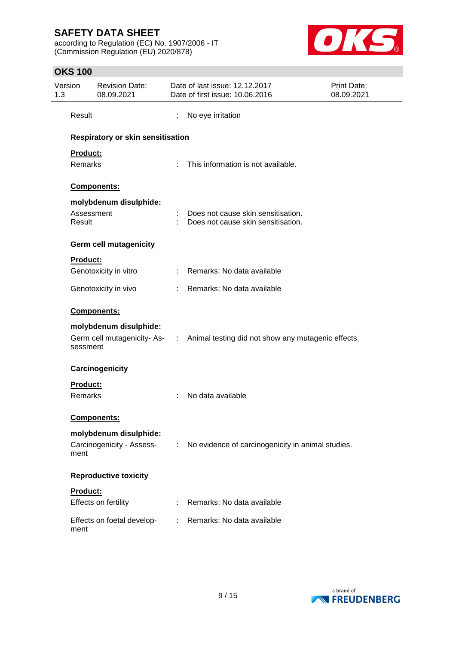according to Regulation (EC) No. 1907/2006 - IT (Commission Regulation (EU) 2020/878)



# **OKS 100**

| Version<br>1.3 |                      | <b>Revision Date:</b><br>08.09.2021 |    | Date of last issue: 12.12.2017<br>Date of first issue: 10.06.2016                | Print Date:<br>08.09.2021 |
|----------------|----------------------|-------------------------------------|----|----------------------------------------------------------------------------------|---------------------------|
|                | Result               |                                     | ÷  | No eye irritation                                                                |                           |
|                |                      | Respiratory or skin sensitisation   |    |                                                                                  |                           |
|                | Product:             |                                     |    |                                                                                  |                           |
|                | <b>Remarks</b>       |                                     |    | : This information is not available.                                             |                           |
|                |                      | Components:                         |    |                                                                                  |                           |
|                |                      | molybdenum disulphide:              |    |                                                                                  |                           |
|                | Assessment<br>Result |                                     |    | : Does not cause skin sensitisation.<br>: Does not cause skin sensitisation.     |                           |
|                |                      | <b>Germ cell mutagenicity</b>       |    |                                                                                  |                           |
|                | <b>Product:</b>      |                                     |    |                                                                                  |                           |
|                |                      | Genotoxicity in vitro               |    | : Remarks: No data available                                                     |                           |
|                |                      | Genotoxicity in vivo                |    | : Remarks: No data available                                                     |                           |
|                |                      | Components:                         |    |                                                                                  |                           |
|                |                      | molybdenum disulphide:              |    |                                                                                  |                           |
|                | sessment             |                                     |    | Germ cell mutagenicity- As- : Animal testing did not show any mutagenic effects. |                           |
|                |                      | Carcinogenicity                     |    |                                                                                  |                           |
|                | <b>Product:</b>      |                                     |    |                                                                                  |                           |
|                | <b>Remarks</b>       |                                     |    | No data available                                                                |                           |
|                |                      | <b>Components:</b>                  |    |                                                                                  |                           |
|                |                      | molybdenum disulphide:              |    |                                                                                  |                           |
|                | ment                 | Carcinogenicity - Assess-           | ÷  | No evidence of carcinogenicity in animal studies.                                |                           |
|                |                      | <b>Reproductive toxicity</b>        |    |                                                                                  |                           |
|                | Product:             |                                     |    |                                                                                  |                           |
|                |                      | Effects on fertility                |    | : Remarks: No data available                                                     |                           |
|                | ment                 | Effects on foetal develop-          | t. | Remarks: No data available                                                       |                           |

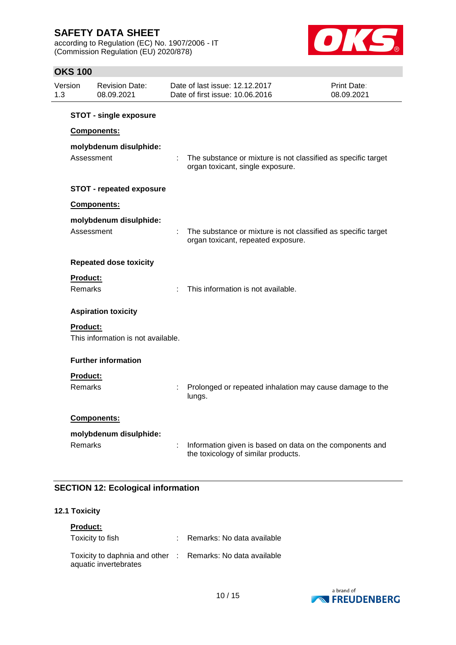according to Regulation (EC) No. 1907/2006 - IT (Commission Regulation (EU) 2020/878)



## **OKS 100**

| Version<br>1.3 |                                   | <b>Revision Date:</b><br>08.09.2021                                                  |    | Date of last issue: 12.12.2017<br>Date of first issue: 10.06.2016                                   | Print Date:<br>08.09.2021 |
|----------------|-----------------------------------|--------------------------------------------------------------------------------------|----|-----------------------------------------------------------------------------------------------------|---------------------------|
|                |                                   | <b>STOT - single exposure</b><br>Components:<br>molybdenum disulphide:<br>Assessment | t. | The substance or mixture is not classified as specific target<br>organ toxicant, single exposure.   |                           |
|                |                                   | <b>STOT - repeated exposure</b>                                                      |    |                                                                                                     |                           |
|                |                                   | Components:<br>molybdenum disulphide:<br>Assessment                                  | ÷. | The substance or mixture is not classified as specific target<br>organ toxicant, repeated exposure. |                           |
|                |                                   | <b>Repeated dose toxicity</b>                                                        |    |                                                                                                     |                           |
|                | <b>Product:</b><br><b>Remarks</b> |                                                                                      |    | This information is not available.                                                                  |                           |
|                |                                   | <b>Aspiration toxicity</b>                                                           |    |                                                                                                     |                           |
|                | Product:                          | This information is not available.                                                   |    |                                                                                                     |                           |
|                |                                   | <b>Further information</b>                                                           |    |                                                                                                     |                           |
|                | <b>Product:</b><br><b>Remarks</b> |                                                                                      |    | Prolonged or repeated inhalation may cause damage to the<br>lungs.                                  |                           |
|                | <b>Remarks</b>                    | Components:<br>molybdenum disulphide:                                                |    | Information given is based on data on the components and<br>the toxicology of similar products.     |                           |

# **SECTION 12: Ecological information**

## **12.1 Toxicity**

| <b>Product:</b>                                                                     |                              |
|-------------------------------------------------------------------------------------|------------------------------|
| Toxicity to fish                                                                    | : Remarks: No data available |
| Toxicity to daphnia and other : Remarks: No data available<br>aquatic invertebrates |                              |

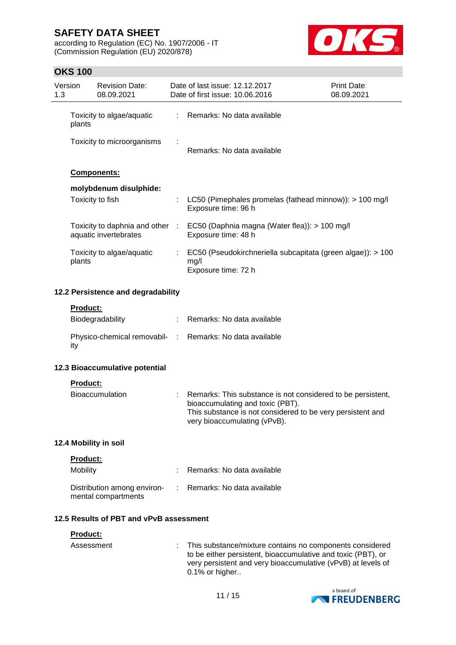according to Regulation (EC) No. 1907/2006 - IT (Commission Regulation (EU) 2020/878)



# **OKS 100**

| Version<br>1.3 |                                         | <b>Revision Date:</b><br>08.09.2021                      |    | Date of last issue: 12.12.2017<br>Date of first issue: 10.06.2016 |                                                                                                                                                                                               | Print Date:<br>08.09.2021 |
|----------------|-----------------------------------------|----------------------------------------------------------|----|-------------------------------------------------------------------|-----------------------------------------------------------------------------------------------------------------------------------------------------------------------------------------------|---------------------------|
|                | plants                                  | Toxicity to algae/aquatic                                | ÷  | Remarks: No data available                                        |                                                                                                                                                                                               |                           |
|                |                                         | Toxicity to microorganisms                               |    | Remarks: No data available                                        |                                                                                                                                                                                               |                           |
|                |                                         | Components:                                              |    |                                                                   |                                                                                                                                                                                               |                           |
|                |                                         | molybdenum disulphide:                                   |    |                                                                   |                                                                                                                                                                                               |                           |
|                |                                         | Toxicity to fish                                         |    | Exposure time: 96 h                                               | LC50 (Pimephales promelas (fathead minnow)): > 100 mg/l                                                                                                                                       |                           |
|                |                                         | aquatic invertebrates                                    |    | Exposure time: 48 h                                               | Toxicity to daphnia and other : EC50 (Daphnia magna (Water flea)): > 100 mg/l                                                                                                                 |                           |
|                | plants                                  | Toxicity to algae/aquatic                                | ÷. | mg/l                                                              | EC50 (Pseudokirchneriella subcapitata (green algae)): > 100                                                                                                                                   |                           |
|                |                                         |                                                          |    | Exposure time: 72 h                                               |                                                                                                                                                                                               |                           |
|                |                                         | 12.2 Persistence and degradability                       |    |                                                                   |                                                                                                                                                                                               |                           |
|                | Product:                                | Biodegradability                                         |    | : Remarks: No data available                                      |                                                                                                                                                                                               |                           |
|                | ity                                     | Physico-chemical removabil- : Remarks: No data available |    |                                                                   |                                                                                                                                                                                               |                           |
|                |                                         | 12.3 Bioaccumulative potential                           |    |                                                                   |                                                                                                                                                                                               |                           |
|                | <b>Product:</b>                         |                                                          |    |                                                                   |                                                                                                                                                                                               |                           |
|                |                                         | <b>Bioaccumulation</b>                                   |    |                                                                   | Remarks: This substance is not considered to be persistent,<br>bioaccumulating and toxic (PBT).<br>This substance is not considered to be very persistent and<br>very bioaccumulating (vPvB). |                           |
|                |                                         | 12.4 Mobility in soil                                    |    |                                                                   |                                                                                                                                                                                               |                           |
|                | <b>Product:</b>                         |                                                          |    |                                                                   |                                                                                                                                                                                               |                           |
|                | Mobility                                |                                                          |    | Remarks: No data available                                        |                                                                                                                                                                                               |                           |
|                |                                         | Distribution among environ-<br>mental compartments       |    | Remarks: No data available                                        |                                                                                                                                                                                               |                           |
|                | 12.5 Results of PBT and vPvB assessment |                                                          |    |                                                                   |                                                                                                                                                                                               |                           |
|                | Product:                                |                                                          |    |                                                                   |                                                                                                                                                                                               |                           |
|                | Assessment                              |                                                          |    | 0.1% or higher                                                    | This substance/mixture contains no components considered<br>to be either persistent, bioaccumulative and toxic (PBT), or<br>very persistent and very bioaccumulative (vPvB) at levels of      |                           |

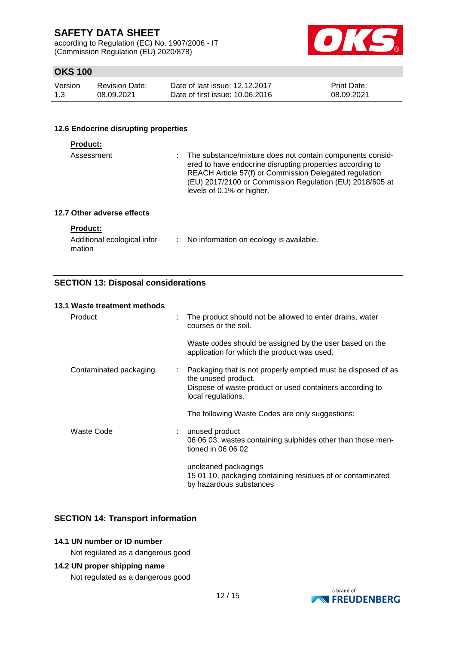according to Regulation (EC) No. 1907/2006 - IT (Commission Regulation (EU) 2020/878)



# **OKS 100**

| Version | <b>Revision Date:</b> | Date of last issue: 12.12.2017  | <b>Print Date:</b> |
|---------|-----------------------|---------------------------------|--------------------|
| 1.3     | 08.09.2021            | Date of first issue: 10.06.2016 | 08.09.2021         |

### **12.6 Endocrine disrupting properties**

#### **Product:**

| Assessment | ÷. | The substance/mixture does not contain components consid-<br>ered to have endocrine disrupting properties according to<br>REACH Article 57(f) or Commission Delegated regulation<br>(EU) 2017/2100 or Commission Regulation (EU) 2018/605 at<br>levels of 0.1% or higher. |
|------------|----|---------------------------------------------------------------------------------------------------------------------------------------------------------------------------------------------------------------------------------------------------------------------------|
|            |    |                                                                                                                                                                                                                                                                           |

## **12.7 Other adverse effects**

## **Product:**

| Additional ecological infor- | No information on ecology is available. |
|------------------------------|-----------------------------------------|
| mation                       |                                         |

## **SECTION 13: Disposal considerations**

#### **13.1 Waste treatment methods**

| Product                |    | : The product should not be allowed to enter drains, water<br>courses or the soil.                                                                                     |
|------------------------|----|------------------------------------------------------------------------------------------------------------------------------------------------------------------------|
|                        |    | Waste codes should be assigned by the user based on the<br>application for which the product was used.                                                                 |
| Contaminated packaging | ÷. | Packaging that is not properly emptied must be disposed of as<br>the unused product.<br>Dispose of waste product or used containers according to<br>local regulations. |
|                        |    | The following Waste Codes are only suggestions:                                                                                                                        |
| Waste Code             |    | : unused product<br>06 06 03, wastes containing sulphides other than those men-<br>tioned in 06 06 02                                                                  |
|                        |    | uncleaned packagings<br>15 01 10, packaging containing residues of or contaminated<br>by hazardous substances                                                          |

## **SECTION 14: Transport information**

# **14.1 UN number or ID number**

Not regulated as a dangerous good

### **14.2 UN proper shipping name**

Not regulated as a dangerous good

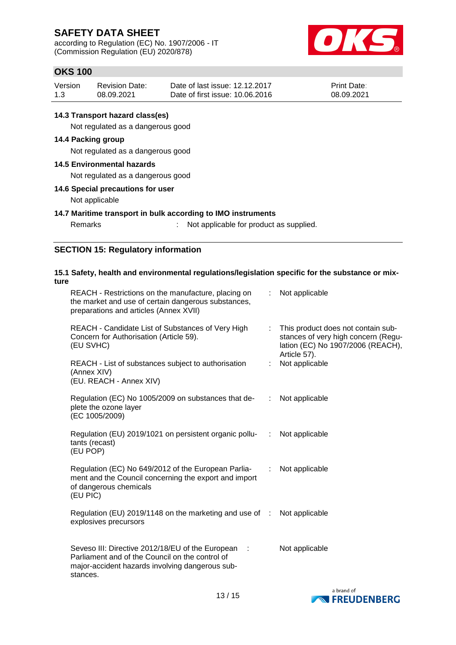according to Regulation (EC) No. 1907/2006 - IT (Commission Regulation (EU) 2020/878)



# **OKS 100**

| Version | <b>Revision Date:</b> | Date of last issue: 12.12.2017  | <b>Print Date:</b> |
|---------|-----------------------|---------------------------------|--------------------|
| 1.3     | 08.09.2021            | Date of first issue: 10.06.2016 | 08.09.2021         |

### **14.3 Transport hazard class(es)**

Not regulated as a dangerous good

### **14.4 Packing group**

Not regulated as a dangerous good

#### **14.5 Environmental hazards**

Not regulated as a dangerous good

#### **14.6 Special precautions for user**

Not applicable

#### **14.7 Maritime transport in bulk according to IMO instruments**

Remarks : Not applicable for product as supplied.

## **SECTION 15: Regulatory information**

#### **15.1 Safety, health and environmental regulations/legislation specific for the substance or mixture** REACH - Restrictions on the manufacture, placing on the market and use of certain dangerous substances, preparations and articles (Annex XVII) : Not applicable REACH - Candidate List of Substances of Very High Concern for Authorisation (Article 59). (EU SVHC) : This product does not contain substances of very high concern (Regulation (EC) No 1907/2006 (REACH), Article 57). REACH - List of substances subject to authorisation (Annex XIV) (EU. REACH - Annex XIV) : Not applicable Regulation (EC) No 1005/2009 on substances that deplete the ozone layer (EC 1005/2009) : Not applicable Regulation (EU) 2019/1021 on persistent organic pollutants (recast) (EU POP) Not applicable

Regulation (EC) No 649/2012 of the European Parliament and the Council concerning the export and import of dangerous chemicals (EU PIC) : Not applicable

Regulation (EU) 2019/1148 on the marketing and use of : Not applicable explosives precursors

Seveso III: Directive 2012/18/EU of the European : Parliament and of the Council on the control of major-accident hazards involving dangerous substances. Not applicable

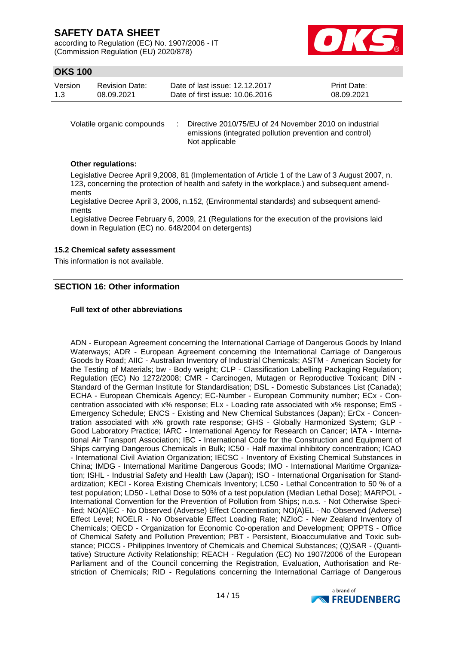according to Regulation (EC) No. 1907/2006 - IT (Commission Regulation (EU) 2020/878)



## **OKS 100**

| Version | <b>Revision Date:</b> | Date of last issue: 12.12.2017  | <b>Print Date:</b> |
|---------|-----------------------|---------------------------------|--------------------|
| 1.3     | 08.09.2021            | Date of first issue: 10.06.2016 | 08.09.2021         |

Volatile organic compounds : Directive 2010/75/EU of 24 November 2010 on industrial emissions (integrated pollution prevention and control) Not applicable

### **Other regulations:**

Legislative Decree April 9,2008, 81 (Implementation of Article 1 of the Law of 3 August 2007, n. 123, concerning the protection of health and safety in the workplace.) and subsequent amendments

Legislative Decree April 3, 2006, n.152, (Environmental standards) and subsequent amendments

Legislative Decree February 6, 2009, 21 (Regulations for the execution of the provisions laid down in Regulation (EC) no. 648/2004 on detergents)

#### **15.2 Chemical safety assessment**

This information is not available.

## **SECTION 16: Other information**

#### **Full text of other abbreviations**

ADN - European Agreement concerning the International Carriage of Dangerous Goods by Inland Waterways; ADR - European Agreement concerning the International Carriage of Dangerous Goods by Road; AIIC - Australian Inventory of Industrial Chemicals; ASTM - American Society for the Testing of Materials; bw - Body weight; CLP - Classification Labelling Packaging Regulation; Regulation (EC) No 1272/2008; CMR - Carcinogen, Mutagen or Reproductive Toxicant; DIN - Standard of the German Institute for Standardisation; DSL - Domestic Substances List (Canada); ECHA - European Chemicals Agency; EC-Number - European Community number; ECx - Concentration associated with x% response; ELx - Loading rate associated with x% response; EmS - Emergency Schedule; ENCS - Existing and New Chemical Substances (Japan); ErCx - Concentration associated with x% growth rate response; GHS - Globally Harmonized System; GLP - Good Laboratory Practice; IARC - International Agency for Research on Cancer; IATA - International Air Transport Association; IBC - International Code for the Construction and Equipment of Ships carrying Dangerous Chemicals in Bulk; IC50 - Half maximal inhibitory concentration; ICAO - International Civil Aviation Organization; IECSC - Inventory of Existing Chemical Substances in China; IMDG - International Maritime Dangerous Goods; IMO - International Maritime Organization; ISHL - Industrial Safety and Health Law (Japan); ISO - International Organisation for Standardization; KECI - Korea Existing Chemicals Inventory; LC50 - Lethal Concentration to 50 % of a test population; LD50 - Lethal Dose to 50% of a test population (Median Lethal Dose); MARPOL - International Convention for the Prevention of Pollution from Ships; n.o.s. - Not Otherwise Specified; NO(A)EC - No Observed (Adverse) Effect Concentration; NO(A)EL - No Observed (Adverse) Effect Level; NOELR - No Observable Effect Loading Rate; NZIoC - New Zealand Inventory of Chemicals; OECD - Organization for Economic Co-operation and Development; OPPTS - Office of Chemical Safety and Pollution Prevention; PBT - Persistent, Bioaccumulative and Toxic substance; PICCS - Philippines Inventory of Chemicals and Chemical Substances; (Q)SAR - (Quantitative) Structure Activity Relationship; REACH - Regulation (EC) No 1907/2006 of the European Parliament and of the Council concerning the Registration, Evaluation, Authorisation and Restriction of Chemicals; RID - Regulations concerning the International Carriage of Dangerous